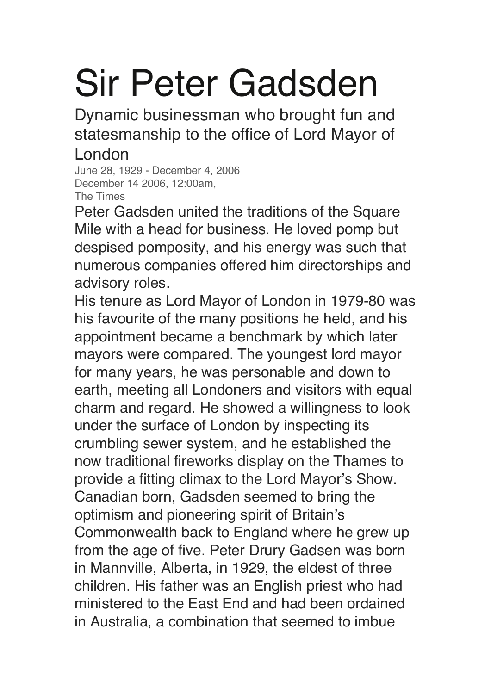## Sir Peter Gadsden

Dynamic businessman who brought fun and statesmanship to the office of Lord Mayor of London

June 28, 1929 - December 4, 2006 December 14 2006, 12:00am, The Times

Peter Gadsden united the traditions of the Square Mile with a head for business. He loved pomp but despised pomposity, and his energy was such that numerous companies offered him directorships and advisory roles.

His tenure as Lord Mayor of London in 1979-80 was his favourite of the many positions he held, and his appointment became a benchmark by which later mayors were compared. The youngest lord mayor for many years, he was personable and down to earth, meeting all Londoners and visitors with equal charm and regard. He showed a willingness to look under the surface of London by inspecting its crumbling sewer system, and he established the now traditional fireworks display on the Thames to provide a fitting climax to the Lord Mayor's Show. Canadian born, Gadsden seemed to bring the optimism and pioneering spirit of Britain's Commonwealth back to England where he grew up from the age of five. Peter Drury Gadsen was born in Mannville, Alberta, in 1929, the eldest of three children. His father was an English priest who had ministered to the East End and had been ordained in Australia, a combination that seemed to imbue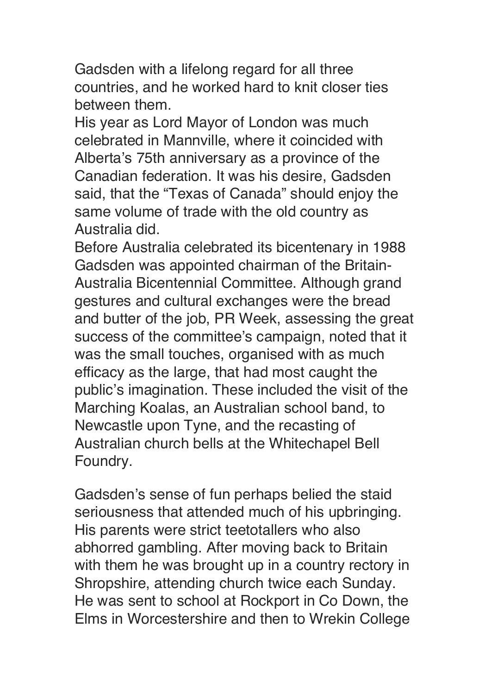Gadsden with a lifelong regard for all three countries, and he worked hard to knit closer ties between them.

His year as Lord Mayor of London was much celebrated in Mannville, where it coincided with Alberta's 75th anniversary as a province of the Canadian federation. It was his desire, Gadsden said, that the "Texas of Canada" should enjoy the same volume of trade with the old country as Australia did.

Before Australia celebrated its bicentenary in 1988 Gadsden was appointed chairman of the Britain-Australia Bicentennial Committee. Although grand gestures and cultural exchanges were the bread and butter of the job, PR Week, assessing the great success of the committee's campaign, noted that it was the small touches, organised with as much efficacy as the large, that had most caught the public's imagination. These included the visit of the Marching Koalas, an Australian school band, to Newcastle upon Tyne, and the recasting of Australian church bells at the Whitechapel Bell Foundry.

Gadsden's sense of fun perhaps belied the staid seriousness that attended much of his upbringing. His parents were strict teetotallers who also abhorred gambling. After moving back to Britain with them he was brought up in a country rectory in Shropshire, attending church twice each Sunday. He was sent to school at Rockport in Co Down, the Elms in Worcestershire and then to Wrekin College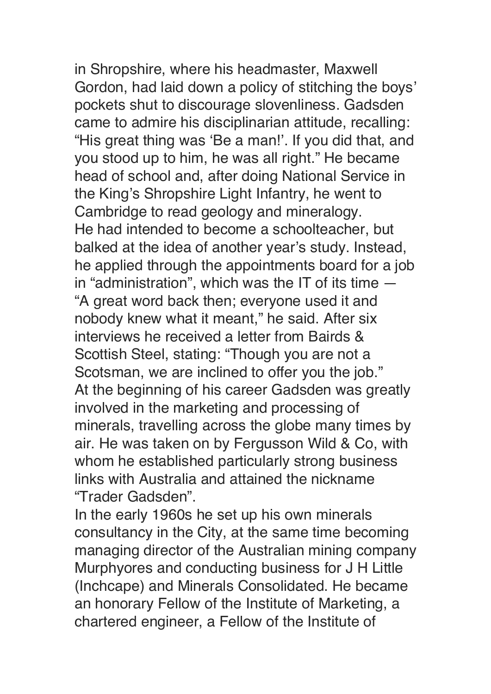in Shropshire, where his headmaster, Maxwell Gordon, had laid down a policy of stitching the boys' pockets shut to discourage slovenliness. Gadsden came to admire his disciplinarian attitude, recalling: "His great thing was 'Be a man!'. If you did that, and you stood up to him, he was all right." He became head of school and, after doing National Service in the King's Shropshire Light Infantry, he went to Cambridge to read geology and mineralogy. He had intended to become a schoolteacher, but balked at the idea of another year's study. Instead, he applied through the appointments board for a job in "administration", which was the IT of its time — "A great word back then; everyone used it and nobody knew what it meant," he said. After six interviews he received a letter from Bairds & Scottish Steel, stating: "Though you are not a Scotsman, we are inclined to offer you the job." At the beginning of his career Gadsden was greatly involved in the marketing and processing of minerals, travelling across the globe many times by air. He was taken on by Fergusson Wild & Co, with whom he established particularly strong business links with Australia and attained the nickname "Trader Gadsden".

In the early 1960s he set up his own minerals consultancy in the City, at the same time becoming managing director of the Australian mining company Murphyores and conducting business for J H Little (Inchcape) and Minerals Consolidated. He became an honorary Fellow of the Institute of Marketing, a chartered engineer, a Fellow of the Institute of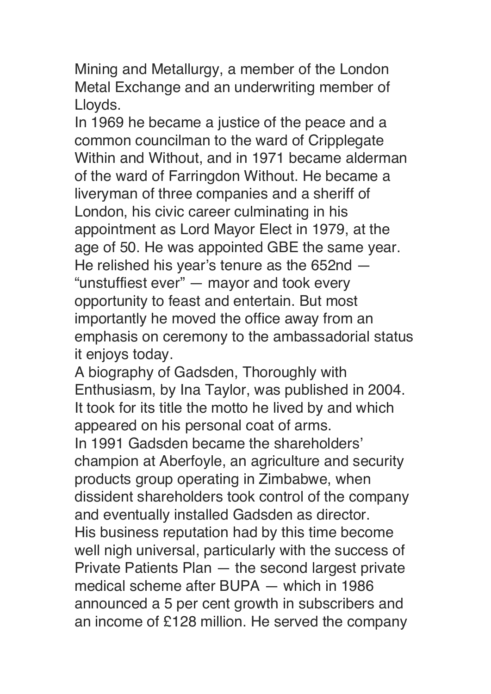Mining and Metallurgy, a member of the London Metal Exchange and an underwriting member of Lloyds.

In 1969 he became a justice of the peace and a common councilman to the ward of Cripplegate Within and Without, and in 1971 became alderman of the ward of Farringdon Without. He became a liveryman of three companies and a sheriff of London, his civic career culminating in his appointment as Lord Mayor Elect in 1979, at the age of 50. He was appointed GBE the same year. He relished his year's tenure as the 652nd — "unstuffiest ever" — mayor and took every opportunity to feast and entertain. But most importantly he moved the office away from an emphasis on ceremony to the ambassadorial status it enjoys today.

A biography of Gadsden, Thoroughly with Enthusiasm, by Ina Taylor, was published in 2004. It took for its title the motto he lived by and which appeared on his personal coat of arms. In 1991 Gadsden became the shareholders' champion at Aberfoyle, an agriculture and security products group operating in Zimbabwe, when dissident shareholders took control of the company and eventually installed Gadsden as director. His business reputation had by this time become well nigh universal, particularly with the success of Private Patients Plan — the second largest private medical scheme after BUPA — which in 1986 announced a 5 per cent growth in subscribers and an income of £128 million. He served the company